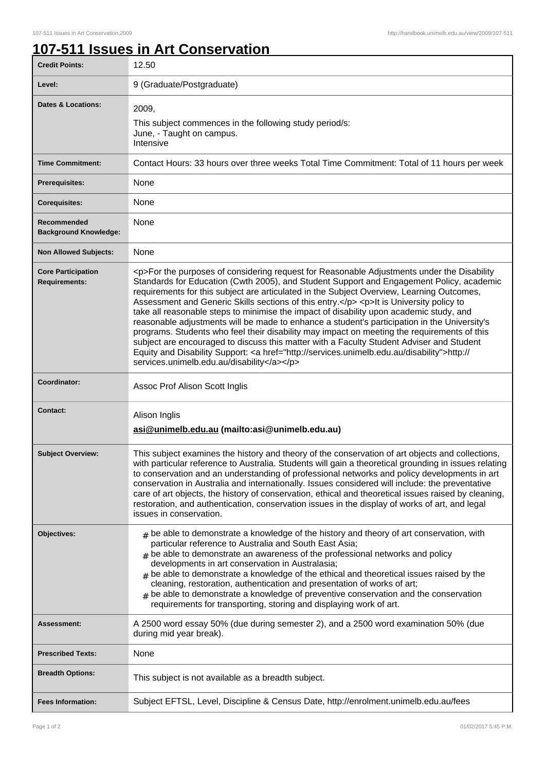## **107-511 Issues in Art Conservation**

| <b>Credit Points:</b>                             | 12.50                                                                                                                                                                                                                                                                                                                                                                                                                                                                                                                                                                                                                                                                                                                                                                                                                                                                                                                     |
|---------------------------------------------------|---------------------------------------------------------------------------------------------------------------------------------------------------------------------------------------------------------------------------------------------------------------------------------------------------------------------------------------------------------------------------------------------------------------------------------------------------------------------------------------------------------------------------------------------------------------------------------------------------------------------------------------------------------------------------------------------------------------------------------------------------------------------------------------------------------------------------------------------------------------------------------------------------------------------------|
| Level:                                            | 9 (Graduate/Postgraduate)                                                                                                                                                                                                                                                                                                                                                                                                                                                                                                                                                                                                                                                                                                                                                                                                                                                                                                 |
| Dates & Locations:                                | 2009,<br>This subject commences in the following study period/s:<br>June, - Taught on campus.<br>Intensive                                                                                                                                                                                                                                                                                                                                                                                                                                                                                                                                                                                                                                                                                                                                                                                                                |
| <b>Time Commitment:</b>                           | Contact Hours: 33 hours over three weeks Total Time Commitment: Total of 11 hours per week                                                                                                                                                                                                                                                                                                                                                                                                                                                                                                                                                                                                                                                                                                                                                                                                                                |
| <b>Prerequisites:</b>                             | None                                                                                                                                                                                                                                                                                                                                                                                                                                                                                                                                                                                                                                                                                                                                                                                                                                                                                                                      |
| <b>Corequisites:</b>                              | None                                                                                                                                                                                                                                                                                                                                                                                                                                                                                                                                                                                                                                                                                                                                                                                                                                                                                                                      |
| Recommended<br><b>Background Knowledge:</b>       | None                                                                                                                                                                                                                                                                                                                                                                                                                                                                                                                                                                                                                                                                                                                                                                                                                                                                                                                      |
| <b>Non Allowed Subjects:</b>                      | None                                                                                                                                                                                                                                                                                                                                                                                                                                                                                                                                                                                                                                                                                                                                                                                                                                                                                                                      |
| <b>Core Participation</b><br><b>Requirements:</b> | <p>For the purposes of considering request for Reasonable Adjustments under the Disability<br/>Standards for Education (Cwth 2005), and Student Support and Engagement Policy, academic<br/>requirements for this subject are articulated in the Subject Overview, Learning Outcomes,<br/>Assessment and Generic Skills sections of this entry.</p> <p>lt is University policy to<br/>take all reasonable steps to minimise the impact of disability upon academic study, and<br/>reasonable adjustments will be made to enhance a student's participation in the University's<br/>programs. Students who feel their disability may impact on meeting the requirements of this<br/>subject are encouraged to discuss this matter with a Faculty Student Adviser and Student<br/>Equity and Disability Support: <a href="http://services.unimelb.edu.au/disability">http://<br/>services.unimelb.edu.au/disability</a></p> |
| Coordinator:                                      | Assoc Prof Alison Scott Inglis                                                                                                                                                                                                                                                                                                                                                                                                                                                                                                                                                                                                                                                                                                                                                                                                                                                                                            |
| <b>Contact:</b>                                   | Alison Inglis<br>asi@unimelb.edu.au (mailto:asi@unimelb.edu.au)                                                                                                                                                                                                                                                                                                                                                                                                                                                                                                                                                                                                                                                                                                                                                                                                                                                           |
| <b>Subject Overview:</b>                          | This subject examines the history and theory of the conservation of art objects and collections,<br>with particular reference to Australia. Students will gain a theoretical grounding in issues relating<br>to conservation and an understanding of professional networks and policy developments in art<br>conservation in Australia and internationally. Issues considered will include: the preventative<br>care of art objects, the history of conservation, ethical and theoretical issues raised by cleaning,<br>restoration, and authentication, conservation issues in the display of works of art, and legal<br>issues in conservation.                                                                                                                                                                                                                                                                         |
| Objectives:                                       | $_{\#}$ be able to demonstrate a knowledge of the history and theory of art conservation, with<br>particular reference to Australia and South East Asia;<br>be able to demonstrate an awareness of the professional networks and policy<br>developments in art conservation in Australasia;<br>be able to demonstrate a knowledge of the ethical and theoretical issues raised by the<br>#<br>cleaning, restoration, authentication and presentation of works of art;<br>be able to demonstrate a knowledge of preventive conservation and the conservation<br>#<br>requirements for transporting, storing and displaying work of art.                                                                                                                                                                                                                                                                                    |
| <b>Assessment:</b>                                | A 2500 word essay 50% (due during semester 2), and a 2500 word examination 50% (due<br>during mid year break).                                                                                                                                                                                                                                                                                                                                                                                                                                                                                                                                                                                                                                                                                                                                                                                                            |
| <b>Prescribed Texts:</b>                          | None                                                                                                                                                                                                                                                                                                                                                                                                                                                                                                                                                                                                                                                                                                                                                                                                                                                                                                                      |
| <b>Breadth Options:</b>                           | This subject is not available as a breadth subject.                                                                                                                                                                                                                                                                                                                                                                                                                                                                                                                                                                                                                                                                                                                                                                                                                                                                       |
| <b>Fees Information:</b>                          | Subject EFTSL, Level, Discipline & Census Date, http://enrolment.unimelb.edu.au/fees                                                                                                                                                                                                                                                                                                                                                                                                                                                                                                                                                                                                                                                                                                                                                                                                                                      |